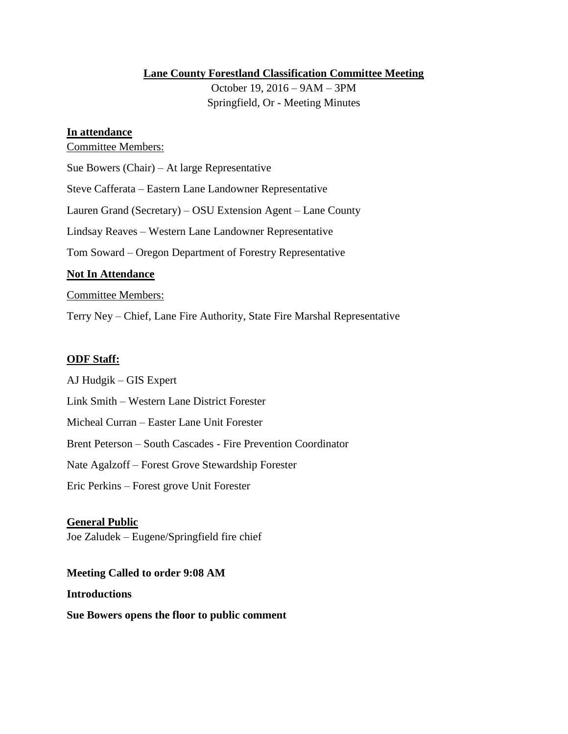## **Lane County Forestland Classification Committee Meeting**

October 19, 2016 – 9AM – 3PM Springfield, Or - Meeting Minutes

### **In attendance**

### Committee Members:

Sue Bowers (Chair) – At large Representative

Steve Cafferata – Eastern Lane Landowner Representative

Lauren Grand (Secretary) – OSU Extension Agent – Lane County

Lindsay Reaves – Western Lane Landowner Representative

Tom Soward – Oregon Department of Forestry Representative

## **Not In Attendance**

## Committee Members:

Terry Ney – Chief, Lane Fire Authority, State Fire Marshal Representative

## **ODF Staff:**

AJ Hudgik – GIS Expert Link Smith – Western Lane District Forester Micheal Curran – Easter Lane Unit Forester

Brent Peterson – South Cascades - Fire Prevention Coordinator

Nate Agalzoff – Forest Grove Stewardship Forester

Eric Perkins – Forest grove Unit Forester

### **General Public**

Joe Zaludek – Eugene/Springfield fire chief

# **Meeting Called to order 9:08 AM**

### **Introductions**

**Sue Bowers opens the floor to public comment**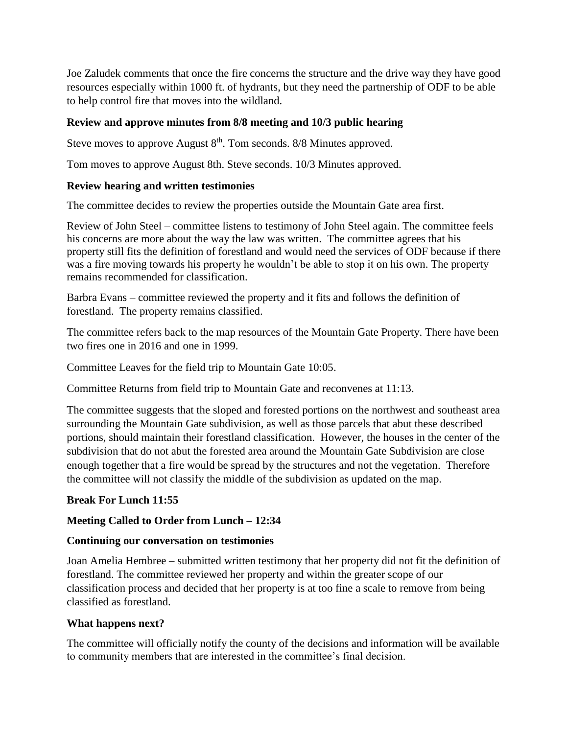Joe Zaludek comments that once the fire concerns the structure and the drive way they have good resources especially within 1000 ft. of hydrants, but they need the partnership of ODF to be able to help control fire that moves into the wildland.

# **Review and approve minutes from 8/8 meeting and 10/3 public hearing**

Steve moves to approve August  $8<sup>th</sup>$ . Tom seconds. 8/8 Minutes approved.

Tom moves to approve August 8th. Steve seconds. 10/3 Minutes approved.

## **Review hearing and written testimonies**

The committee decides to review the properties outside the Mountain Gate area first.

Review of John Steel – committee listens to testimony of John Steel again. The committee feels his concerns are more about the way the law was written. The committee agrees that his property still fits the definition of forestland and would need the services of ODF because if there was a fire moving towards his property he wouldn't be able to stop it on his own. The property remains recommended for classification.

Barbra Evans – committee reviewed the property and it fits and follows the definition of forestland. The property remains classified.

The committee refers back to the map resources of the Mountain Gate Property. There have been two fires one in 2016 and one in 1999.

Committee Leaves for the field trip to Mountain Gate 10:05.

Committee Returns from field trip to Mountain Gate and reconvenes at 11:13.

The committee suggests that the sloped and forested portions on the northwest and southeast area surrounding the Mountain Gate subdivision, as well as those parcels that abut these described portions, should maintain their forestland classification. However, the houses in the center of the subdivision that do not abut the forested area around the Mountain Gate Subdivision are close enough together that a fire would be spread by the structures and not the vegetation. Therefore the committee will not classify the middle of the subdivision as updated on the map.

# **Break For Lunch 11:55**

# **Meeting Called to Order from Lunch – 12:34**

# **Continuing our conversation on testimonies**

Joan Amelia Hembree – submitted written testimony that her property did not fit the definition of forestland. The committee reviewed her property and within the greater scope of our classification process and decided that her property is at too fine a scale to remove from being classified as forestland.

### **What happens next?**

The committee will officially notify the county of the decisions and information will be available to community members that are interested in the committee's final decision.